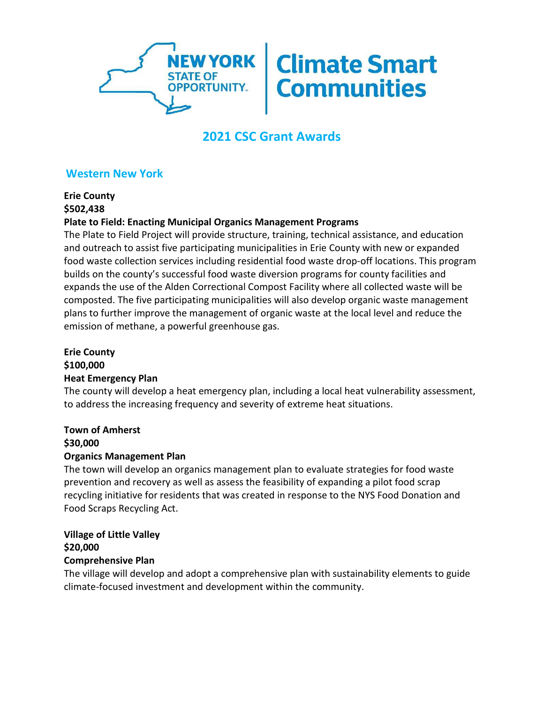

# **2021 CSC Grant Awards**

# **Western New York**

**Erie County \$502,438**

# **Plate to Field: Enacting Municipal Organics Management Programs**

The Plate to Field Project will provide structure, training, technical assistance, and education and outreach to assist five participating municipalities in Erie County with new or expanded food waste collection services including residential food waste drop-off locations. This program builds on the county's successful food waste diversion programs for county facilities and expands the use of the Alden Correctional Compost Facility where all collected waste will be composted. The five participating municipalities will also develop organic waste management plans to further improve the management of organic waste at the local level and reduce the emission of methane, a powerful greenhouse gas.

# **Erie County \$100,000 Heat Emergency Plan**

The county will develop a heat emergency plan, including a local heat vulnerability assessment, to address the increasing frequency and severity of extreme heat situations.

#### **Town of Amherst \$30,000**

## **Organics Management Plan**

The town will develop an organics management plan to evaluate strategies for food waste prevention and recovery as well as assess the feasibility of expanding a pilot food scrap recycling initiative for residents that was created in response to the NYS Food Donation and Food Scraps Recycling Act.

# **Village of Little Valley \$20,000**

#### **Comprehensive Plan**

The village will develop and adopt a comprehensive plan with sustainability elements to guide climate-focused investment and development within the community.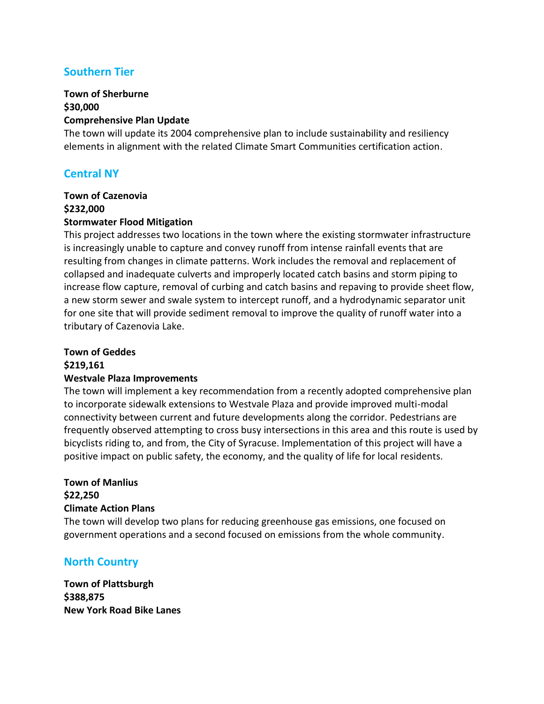# **Southern Tier**

#### **Town of Sherburne \$30,000 Comprehensive Plan Update**

The town will update its 2004 comprehensive plan to include sustainability and resiliency elements in alignment with the related Climate Smart Communities certification action.

# **Central NY**

# **Town of Cazenovia \$232,000**

#### **Stormwater Flood Mitigation**

This project addresses two locations in the town where the existing stormwater infrastructure is increasingly unable to capture and convey runoff from intense rainfall events that are resulting from changes in climate patterns. Work includes the removal and replacement of collapsed and inadequate culverts and improperly located catch basins and storm piping to increase flow capture, removal of curbing and catch basins and repaving to provide sheet flow, a new storm sewer and swale system to intercept runoff, and a hydrodynamic separator unit for one site that will provide sediment removal to improve the quality of runoff water into a tributary of Cazenovia Lake.

## **Town of Geddes**

## **\$219,161**

## **Westvale Plaza Improvements**

The town will implement a key recommendation from a recently adopted comprehensive plan to incorporate sidewalk extensions to Westvale Plaza and provide improved multi-modal connectivity between current and future developments along the corridor. Pedestrians are frequently observed attempting to cross busy intersections in this area and this route is used by bicyclists riding to, and from, the City of Syracuse. Implementation of this project will have a positive impact on public safety, the economy, and the quality of life for local residents.

#### **Town of Manlius \$22,250**

## **Climate Action Plans**

The town will develop two plans for reducing greenhouse gas emissions, one focused on government operations and a second focused on emissions from the whole community.

# **North Country**

**Town of Plattsburgh \$388,875 New York Road Bike Lanes**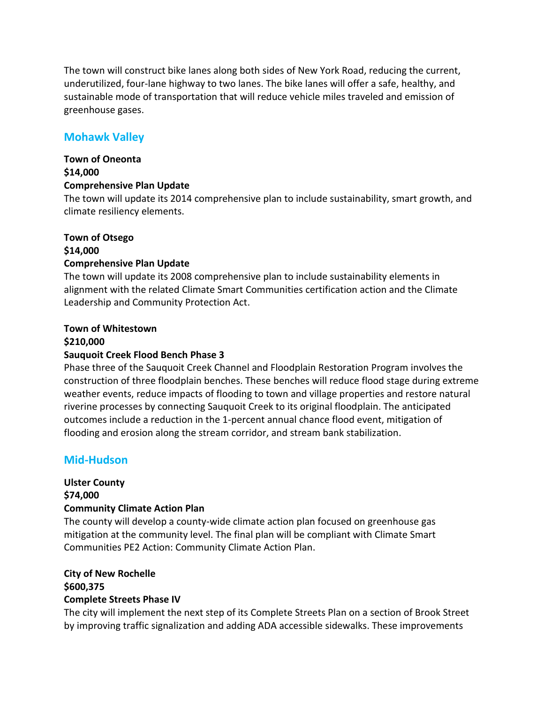The town will construct bike lanes along both sides of New York Road, reducing the current, underutilized, four-lane highway to two lanes. The bike lanes will offer a safe, healthy, and sustainable mode of transportation that will reduce vehicle miles traveled and emission of greenhouse gases.

# **Mohawk Valley**

#### **Town of Oneonta \$14,000 Comprehensive Plan Update**

The town will update its 2014 comprehensive plan to include sustainability, smart growth, and climate resiliency elements.

# **Town of Otsego \$14,000 Comprehensive Plan Update**

The town will update its 2008 comprehensive plan to include sustainability elements in alignment with the related Climate Smart Communities certification action and the Climate Leadership and Community Protection Act.

# **Town of Whitestown**

#### **\$210,000**

## **Sauquoit Creek Flood Bench Phase 3**

Phase three of the Sauquoit Creek Channel and Floodplain Restoration Program involves the construction of three floodplain benches. These benches will reduce flood stage during extreme weather events, reduce impacts of flooding to town and village properties and restore natural riverine processes by connecting Sauquoit Creek to its original floodplain. The anticipated outcomes include a reduction in the 1-percent annual chance flood event, mitigation of flooding and erosion along the stream corridor, and stream bank stabilization.

# **Mid-Hudson**

# **Ulster County \$74,000 Community Climate Action Plan**

The county will develop a county-wide climate action plan focused on greenhouse gas mitigation at the community level. The final plan will be compliant with Climate Smart Communities PE2 Action: Community Climate Action Plan.

#### **City of New Rochelle \$600,375 Complete Streets Phase IV**

The city will implement the next step of its Complete Streets Plan on a section of Brook Street by improving traffic signalization and adding ADA accessible sidewalks. These improvements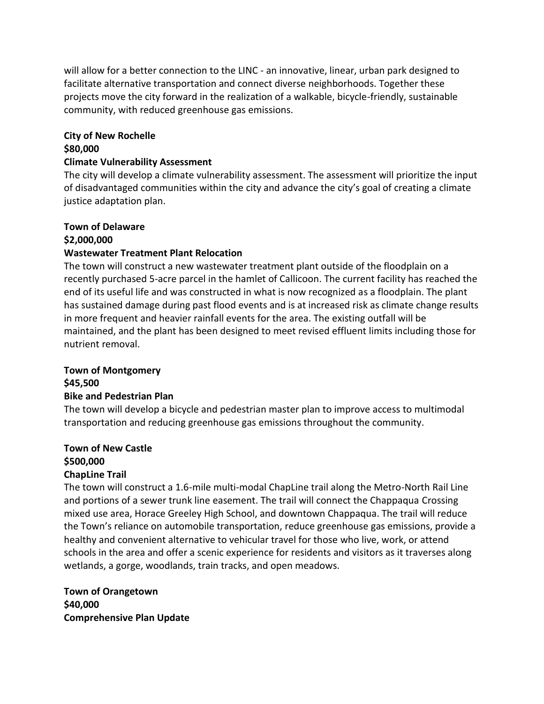will allow for a better connection to the LINC - an innovative, linear, urban park designed to facilitate alternative transportation and connect diverse neighborhoods. Together these projects move the city forward in the realization of a walkable, bicycle-friendly, sustainable community, with reduced greenhouse gas emissions.

## **City of New Rochelle \$80,000**

#### **Climate Vulnerability Assessment**

The city will develop a climate vulnerability assessment. The assessment will prioritize the input of disadvantaged communities within the city and advance the city's goal of creating a climate justice adaptation plan.

# **Town of Delaware \$2,000,000**

## **Wastewater Treatment Plant Relocation**

The town will construct a new wastewater treatment plant outside of the floodplain on a recently purchased 5-acre parcel in the hamlet of Callicoon. The current facility has reached the end of its useful life and was constructed in what is now recognized as a floodplain. The plant has sustained damage during past flood events and is at increased risk as climate change results in more frequent and heavier rainfall events for the area. The existing outfall will be maintained, and the plant has been designed to meet revised effluent limits including those for nutrient removal.

## **Town of Montgomery \$45,500**

#### **Bike and Pedestrian Plan**

The town will develop a bicycle and pedestrian master plan to improve access to multimodal transportation and reducing greenhouse gas emissions throughout the community.

# **Town of New Castle \$500,000**

#### **ChapLine Trail**

The town will construct a 1.6-mile multi-modal ChapLine trail along the Metro-North Rail Line and portions of a sewer trunk line easement. The trail will connect the Chappaqua Crossing mixed use area, Horace Greeley High School, and downtown Chappaqua. The trail will reduce the Town's reliance on automobile transportation, reduce greenhouse gas emissions, provide a healthy and convenient alternative to vehicular travel for those who live, work, or attend schools in the area and offer a scenic experience for residents and visitors as it traverses along wetlands, a gorge, woodlands, train tracks, and open meadows.

**Town of Orangetown \$40,000 Comprehensive Plan Update**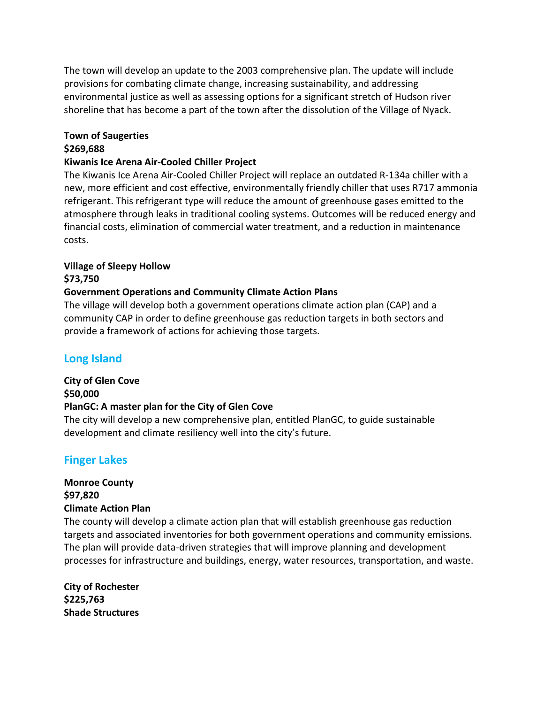The town will develop an update to the 2003 comprehensive plan. The update will include provisions for combating climate change, increasing sustainability, and addressing environmental justice as well as assessing options for a significant stretch of Hudson river shoreline that has become a part of the town after the dissolution of the Village of Nyack.

# **Town of Saugerties**

# **\$269,688**

### **Kiwanis Ice Arena Air-Cooled Chiller Project**

The Kiwanis Ice Arena Air-Cooled Chiller Project will replace an outdated R-134a chiller with a new, more efficient and cost effective, environmentally friendly chiller that uses R717 ammonia refrigerant. This refrigerant type will reduce the amount of greenhouse gases emitted to the atmosphere through leaks in traditional cooling systems. Outcomes will be reduced energy and financial costs, elimination of commercial water treatment, and a reduction in maintenance costs.

# **Village of Sleepy Hollow**

#### **\$73,750**

## **Government Operations and Community Climate Action Plans**

development and climate resiliency well into the city's future.

The village will develop both a government operations climate action plan (CAP) and a community CAP in order to define greenhouse gas reduction targets in both sectors and provide a framework of actions for achieving those targets.

# **Long Island**

# **City of Glen Cove \$50,000 PlanGC: A master plan for the City of Glen Cove** The city will develop a new comprehensive plan, entitled PlanGC, to guide sustainable

# **Finger Lakes**

# **Monroe County \$97,820 Climate Action Plan**

The county will develop a climate action plan that will establish greenhouse gas reduction targets and associated inventories for both government operations and community emissions. The plan will provide data-driven strategies that will improve planning and development processes for infrastructure and buildings, energy, water resources, transportation, and waste.

**City of Rochester \$225,763 Shade Structures**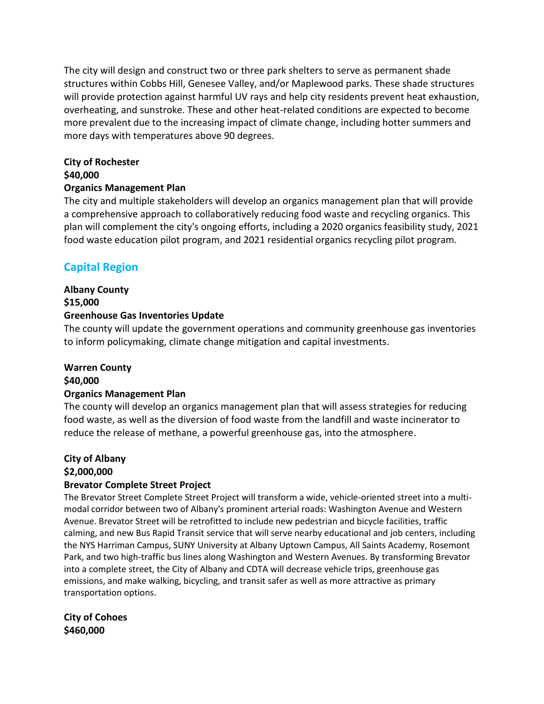The city will design and construct two or three park shelters to serve as permanent shade structures within Cobbs Hill, Genesee Valley, and/or Maplewood parks. These shade structures will provide protection against harmful UV rays and help city residents prevent heat exhaustion, overheating, and sunstroke. These and other heat-related conditions are expected to become more prevalent due to the increasing impact of climate change, including hotter summers and more days with temperatures above 90 degrees.

#### **City of Rochester**

### **\$40,000**

## **Organics Management Plan**

The city and multiple stakeholders will develop an organics management plan that will provide a comprehensive approach to collaboratively reducing food waste and recycling organics. This plan will complement the city's ongoing efforts, including a 2020 organics feasibility study, 2021 food waste education pilot program, and 2021 residential organics recycling pilot program.

# **Capital Region**

### **Albany County \$15,000 Greenhouse Gas Inventories Update**

The county will update the government operations and community greenhouse gas inventories to inform policymaking, climate change mitigation and capital investments.

# **Warren County**

## **\$40,000**

## **Organics Management Plan**

The county will develop an organics management plan that will assess strategies for reducing food waste, as well as the diversion of food waste from the landfill and waste incinerator to reduce the release of methane, a powerful greenhouse gas, into the atmosphere.

# **City of Albany \$2,000,000**

## **Brevator Complete Street Project**

The Brevator Street Complete Street Project will transform a wide, vehicle-oriented street into a multimodal corridor between two of Albany's prominent arterial roads: Washington Avenue and Western Avenue. Brevator Street will be retrofitted to include new pedestrian and bicycle facilities, traffic calming, and new Bus Rapid Transit service that will serve nearby educational and job centers, including the NYS Harriman Campus, SUNY University at Albany Uptown Campus, All Saints Academy, Rosemont Park, and two high-traffic bus lines along Washington and Western Avenues. By transforming Brevator into a complete street, the City of Albany and CDTA will decrease vehicle trips, greenhouse gas emissions, and make walking, bicycling, and transit safer as well as more attractive as primary transportation options.

**City of Cohoes \$460,000**